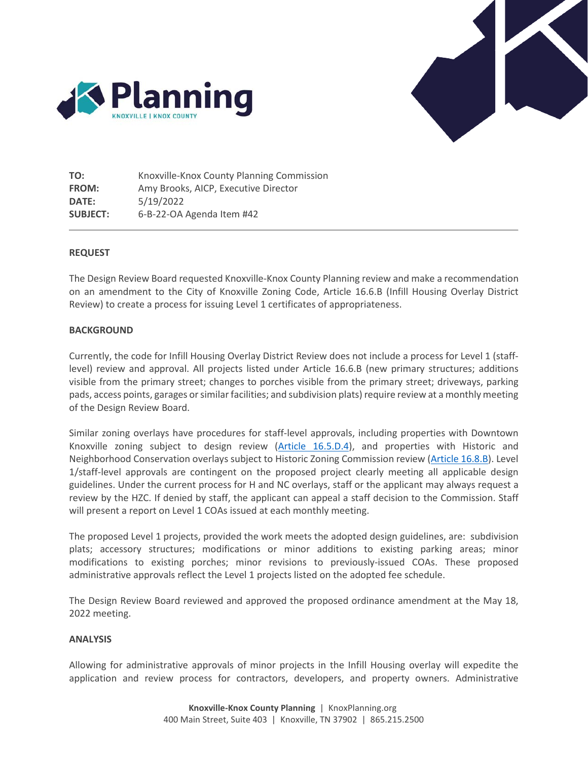



**TO:** Knoxville-Knox County Planning Commission **FROM:** Amy Brooks, AICP, Executive Director **DATE:** 5/19/2022 **SUBJECT:** 6-B-22-OA Agenda Item #42

#### **REQUEST**

The Design Review Board requested Knoxville-Knox County Planning review and make a recommendation on an amendment to the City of Knoxville Zoning Code, Article 16.6.B (Infill Housing Overlay District Review) to create a process for issuing Level 1 certificates of appropriateness.

#### **BACKGROUND**

Currently, the code for Infill Housing Overlay District Review does not include a process for Level 1 (stafflevel) review and approval. All projects listed under Article 16.6.B (new primary structures; additions visible from the primary street; changes to porches visible from the primary street; driveways, parking pads, access points, garages or similar facilities; and subdivision plats) require review at a monthly meeting of the Design Review Board.

Similar zoning overlays have procedures for staff-level approvals, including properties with Downtown Knoxville zoning subject to design review (Article [16.5.D.4\)](https://library.municode.com/tn/knoxville/codes/code_of_ordinances?nodeId=APXBZOCO_ART16ZOAP_16.5DERE), and properties with Historic and Neighborhood Conservation overlays subject to Historic Zoning Commission review [\(Article 16.8.B\)](https://library.municode.com/tn/knoxville/codes/code_of_ordinances?nodeId=APXBZOCO_ART16ZOAP_16.8OVDIERAP). Level 1/staff-level approvals are contingent on the proposed project clearly meeting all applicable design guidelines. Under the current process for H and NC overlays, staff or the applicant may always request a review by the HZC. If denied by staff, the applicant can appeal a staff decision to the Commission. Staff will present a report on Level 1 COAs issued at each monthly meeting.

The proposed Level 1 projects, provided the work meets the adopted design guidelines, are: subdivision plats; accessory structures; modifications or minor additions to existing parking areas; minor modifications to existing porches; minor revisions to previously-issued COAs. These proposed administrative approvals reflect the Level 1 projects listed on the adopted fee schedule.

The Design Review Board reviewed and approved the proposed ordinance amendment at the May 18, 2022 meeting.

#### **ANALYSIS**

Allowing for administrative approvals of minor projects in the Infill Housing overlay will expedite the application and review process for contractors, developers, and property owners. Administrative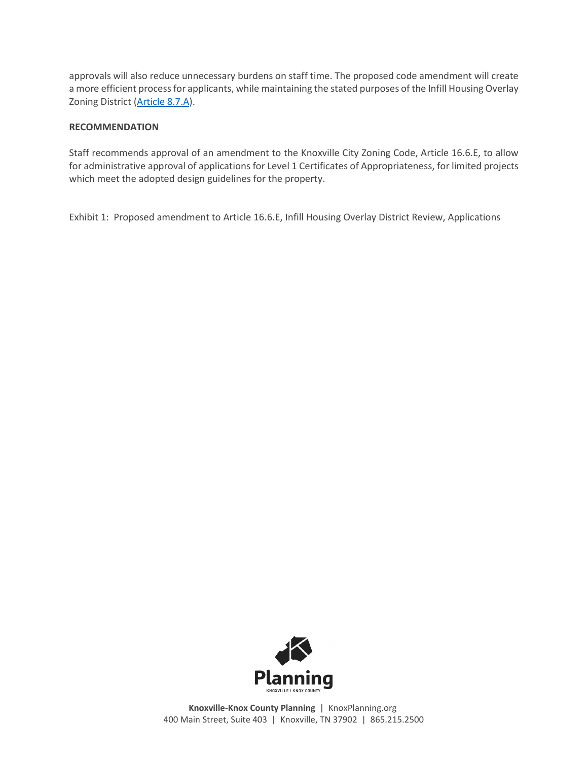approvals will also reduce unnecessary burdens on staff time. The proposed code amendment will create a more efficient process for applicants, while maintaining the stated purposes of the Infill Housing Overlay Zoning District [\(Article 8.7.A\)](https://library.municode.com/tn/knoxville/codes/code_of_ordinances?nodeId=APXBZOCO_ART8SPPUOVDI_8.7IHINHOOVZODI).

## **RECOMMENDATION**

Staff recommends approval of an amendment to the Knoxville City Zoning Code, Article 16.6.E, to allow for administrative approval of applications for Level 1 Certificates of Appropriateness, for limited projects which meet the adopted design guidelines for the property.

Exhibit 1: Proposed amendment to Article 16.6.E, Infill Housing Overlay District Review, Applications



**Knoxville-Knox County Planning** | KnoxPlanning.org 400 Main Street, Suite 403 | Knoxville, TN 37902 | 865.215.2500